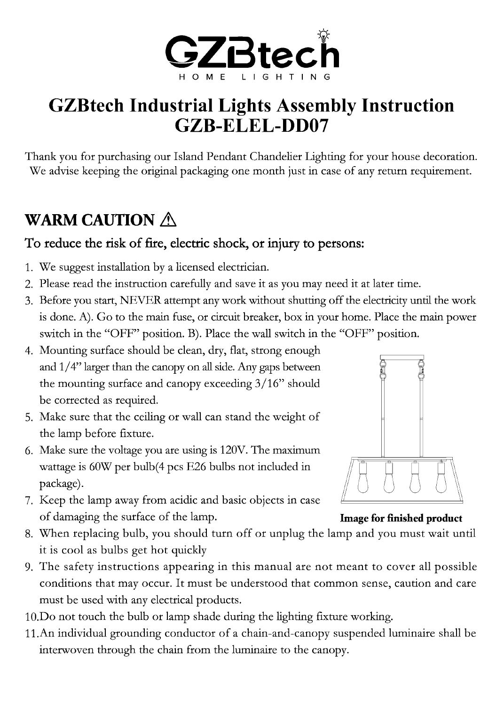

# GZBtech Industrial Lights Assembly Instruction GZB-ELEL-DD07

Thank you for purchasing our Island Pendant Chandelier Lighting for your house decoration. We advise keeping the original packaging one month just in case of any return requirement.

## WARM CAUTION  $\wedge$

### To reduce the risk of fire, electric shock, or injury to persons:

- 1. We suggest installation by a licensed electrician.
- 2. Please read instruction carefully and save it as you may need it at later time.
- 3. Before you start, NEVER attempt any work without shutting off the electricity until the work is done. A). Go to the main fuse, or circuit breaker, box in your home. Place the main power switch in the "OFF" position. B). Place the wall switch in the "OFF" position.
- 4. Mounting surface should be clean, dry, flat, strong enough and  $1/4$ " larger than the canopy on all side. Any gaps between the mounting surface and canopy exceeding 3/16" should be corrected as required.
- 5. Make sure that the ceiling or wall can stand the weight of the lamp before fixture.
- 6. Make sure the voltage you are using is 120V. The maximum wattage is 60W per bulb(4 pcs E26 bulbs not included in package).
- 7. Keep the lamp away from acidic and basic objects in case of damaging the surface of the lamp. **Image for finished product**



- 8. When replacing bulb, you should turn off or unplug the lamp and you must wait until it is cool as bulbs get hot quickly
- 9. The safety instructions appearing in this manual are not meant to cover all possible conditions that may occur. It must be understood that common sense, caution and care must be used with any electrical products.
- 10.Do not touch the bulb or lamp shade during the lighting fixture working.
- 11.An individual grounding conductor of a chain-and-canopy suspended luminaire shall be interwoven through the chain from the luminaire to the canopy.